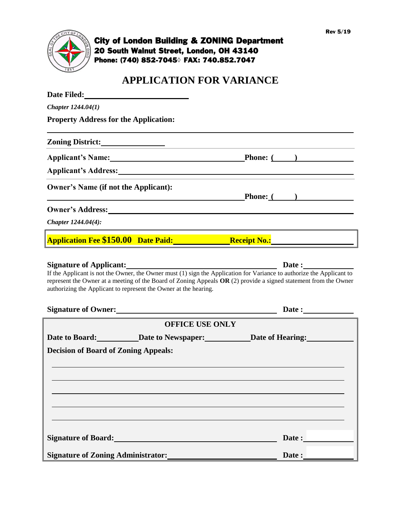

## City of London Building & ZONING Department 20 South Walnut Street, London, OH 43140 Phone: (740) 852-7045**◊** FAX: 740.852.7047

# **APPLICATION FOR VARIANCE**

| Chapter 1244.04(1)                                                                                                                                                                                                                                                                                                                                                   |                                          |
|----------------------------------------------------------------------------------------------------------------------------------------------------------------------------------------------------------------------------------------------------------------------------------------------------------------------------------------------------------------------|------------------------------------------|
| <b>Property Address for the Application:</b>                                                                                                                                                                                                                                                                                                                         |                                          |
| Zoning District:                                                                                                                                                                                                                                                                                                                                                     |                                          |
| Applicant's Name: Phone: (1)                                                                                                                                                                                                                                                                                                                                         |                                          |
| Applicant's Address: Manual Applicant of Address: Manual Applicant of Address:                                                                                                                                                                                                                                                                                       |                                          |
| <b>Owner's Name (if not the Applicant):</b>                                                                                                                                                                                                                                                                                                                          | $\blacksquare$ Phone: $\blacksquare$ ( ) |
| Owner's Address: New York Changes and Security and Security and Security and Security and Security and Security and Security and Security and Security and Security and Security and Security and Security and Security and Se                                                                                                                                       |                                          |
| Chapter $1244.04(4)$ :                                                                                                                                                                                                                                                                                                                                               |                                          |
| Application Fee \$150.00 Date Paid: Receipt No.: Receipt No.:                                                                                                                                                                                                                                                                                                        |                                          |
| If the Applicant is not the Owner, the Owner must (1) sign the Application for Variance to authorize the Applicant to<br>represent the Owner at a meeting of the Board of Zoning Appeals $OR(2)$ provide a signed statement from the Owner<br>authorizing the Applicant to represent the Owner at the hearing.<br>Signature of Owner:<br><u> Signature of Owner:</u> | Date:                                    |
| <b>OFFICE USE ONLY</b>                                                                                                                                                                                                                                                                                                                                               |                                          |
| Date to Board: Date to Newspaper: Date of Hearing:<br><b>Decision of Board of Zoning Appeals:</b>                                                                                                                                                                                                                                                                    |                                          |
|                                                                                                                                                                                                                                                                                                                                                                      |                                          |
| Signature of Board:<br><u>Signature of Board:</u>                                                                                                                                                                                                                                                                                                                    | Date:                                    |
| Signature of Zoning Administrator:<br><u>Signature of Zoning Administrator:</u>                                                                                                                                                                                                                                                                                      | Date :                                   |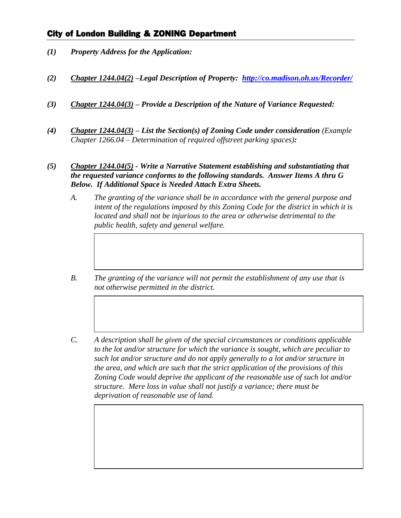### City of London Building & ZONING Department

- *(1) Property Address for the Application:*
- *(2) Chapter 1244.04(2) –Legal Description of Property: <http://co.madison.oh.us/Recorder/>*
- *(3) Chapter 1244.04(3) – Provide a Description of the Nature of Variance Requested:*
- *(4) Chapter 1244.04(3) – List the Section(s) of Zoning Code under consideration (Example Chapter 1266.04 – Determination of required offstreet parking spaces):*
- *(5) Chapter 1244.04(5) - Write a Narrative Statement establishing and substantiating that the requested variance conforms to the following standards. Answer Items A thru G Below. If Additional Space is Needed Attach Extra Sheets.*
	- *A. The granting of the variance shall be in accordance with the general purpose and intent of the regulations imposed by this Zoning Code for the district in which it is located and shall not be injurious to the area or otherwise detrimental to the public health, safety and general welfare.*
	- *B. The granting of the variance will not permit the establishment of any use that is not otherwise permitted in the district.*
	- *C. A description shall be given of the special circumstances or conditions applicable to the lot and/or structure for which the variance is sought, which are peculiar to such lot and/or structure and do not apply generally to a lot and/or structure in the area, and which are such that the strict application of the provisions of this Zoning Code would deprive the applicant of the reasonable use of such lot and/or structure. Mere loss in value shall not justify a variance; there must be deprivation of reasonable use of land.*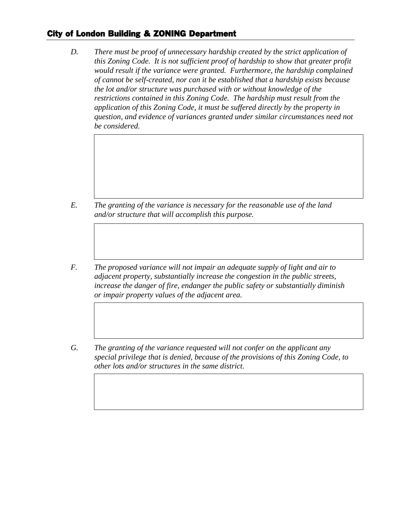## City of London Building & ZONING Department

*D. There must be proof of unnecessary hardship created by the strict application of this Zoning Code. It is not sufficient proof of hardship to show that greater profit would result if the variance were granted. Furthermore, the hardship complained of cannot be self-created, nor can it be established that a hardship exists because the lot and/or structure was purchased with or without knowledge of the restrictions contained in this Zoning Code. The hardship must result from the application of this Zoning Code, it must be suffered directly by the property in question, and evidence of variances granted under similar circumstances need not be considered.*

- *E. The granting of the variance is necessary for the reasonable use of the land and/or structure that will accomplish this purpose.*
- *F. The proposed variance will not impair an adequate supply of light and air to adjacent property, substantially increase the congestion in the public streets, increase the danger of fire, endanger the public safety or substantially diminish or impair property values of the adjacent area.*
- *G. The granting of the variance requested will not confer on the applicant any special privilege that is denied, because of the provisions of this Zoning Code, to other lots and/or structures in the same district.*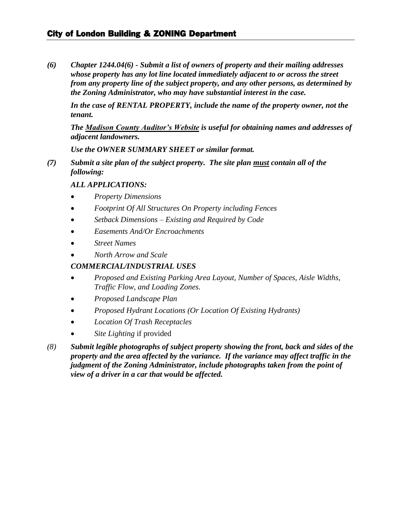### City of London Building & ZONING Department

*(6) Chapter 1244.04(6) - Submit a list of owners of property and their mailing addresses whose property has any lot line located immediately adjacent to or across the street from any property line of the subject property, and any other persons, as determined by the Zoning Administrator, who may have substantial interest in the case.*

*In the case of RENTAL PROPERTY, include the name of the property owner, not the tenant.*

*The Madison County Auditor's Website is useful for obtaining names and addresses of adjacent landowners.* 

*Use the OWNER SUMMARY SHEET or similar format.*

*(7) Submit a site plan of the subject property. The site plan must contain all of the following:*

#### *ALL APPLICATIONS:*

- *Property Dimensions*
- *Footprint Of All Structures On Property including Fences*
- *Setback Dimensions – Existing and Required by Code*
- *Easements And/Or Encroachments*
- *Street Names*
- *North Arrow and Scale*

#### *COMMERCIAL/INDUSTRIAL USES*

- *Proposed and Existing Parking Area Layout, Number of Spaces, Aisle Widths, Traffic Flow, and Loading Zones.*
- *Proposed Landscape Plan*
- *Proposed Hydrant Locations (Or Location Of Existing Hydrants)*
- *Location Of Trash Receptacles*
- *Site Lighting* if provided
- *(8) Submit legible photographs of subject property showing the front, back and sides of the property and the area affected by the variance. If the variance may affect traffic in the judgment of the Zoning Administrator, include photographs taken from the point of view of a driver in a car that would be affected.*